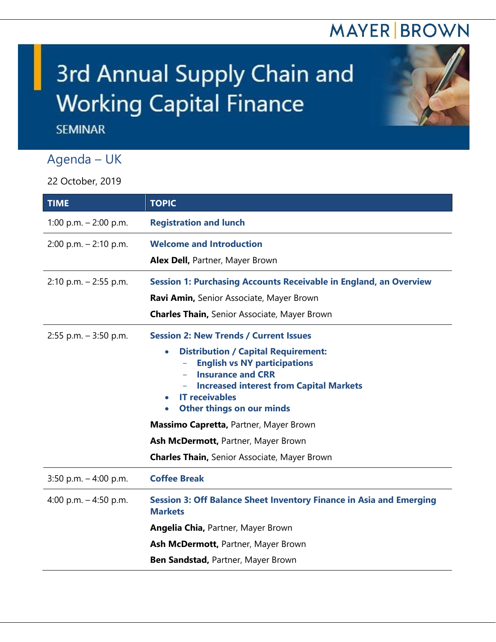## **MAYER BROWN**

## 3rd Annual Supply Chain and **Working Capital Finance**

**SEMINAR** 

## Agenda – UK

22 October, 2019

| <b>TIME</b>              | <b>TOPIC</b>                                                                                 |
|--------------------------|----------------------------------------------------------------------------------------------|
| 1:00 p.m. $-$ 2:00 p.m.  | <b>Registration and lunch</b>                                                                |
| $2:00$ p.m. $-2:10$ p.m. | <b>Welcome and Introduction</b>                                                              |
|                          | Alex Dell, Partner, Mayer Brown                                                              |
| $2:10$ p.m. $-2:55$ p.m. | <b>Session 1: Purchasing Accounts Receivable in England, an Overview</b>                     |
|                          | Ravi Amin, Senior Associate, Mayer Brown                                                     |
|                          | <b>Charles Thain, Senior Associate, Mayer Brown</b>                                          |
| $2:55$ p.m. $-3:50$ p.m. | <b>Session 2: New Trends / Current Issues</b>                                                |
|                          | <b>Distribution / Capital Requirement:</b><br>$\bullet$                                      |
|                          | <b>English vs NY participations</b><br><b>Insurance and CRR</b>                              |
|                          | <b>Increased interest from Capital Markets</b>                                               |
|                          | <b>IT receivables</b>                                                                        |
|                          | Other things on our minds<br>$\bullet$                                                       |
|                          | Massimo Capretta, Partner, Mayer Brown                                                       |
|                          | Ash McDermott, Partner, Mayer Brown                                                          |
|                          | <b>Charles Thain, Senior Associate, Mayer Brown</b>                                          |
| 3:50 p.m. $-$ 4:00 p.m.  | <b>Coffee Break</b>                                                                          |
| 4:00 p.m. - 4:50 p.m.    | <b>Session 3: Off Balance Sheet Inventory Finance in Asia and Emerging</b><br><b>Markets</b> |
|                          | <b>Angelia Chia, Partner, Mayer Brown</b>                                                    |
|                          | Ash McDermott, Partner, Mayer Brown                                                          |
|                          | Ben Sandstad, Partner, Mayer Brown                                                           |